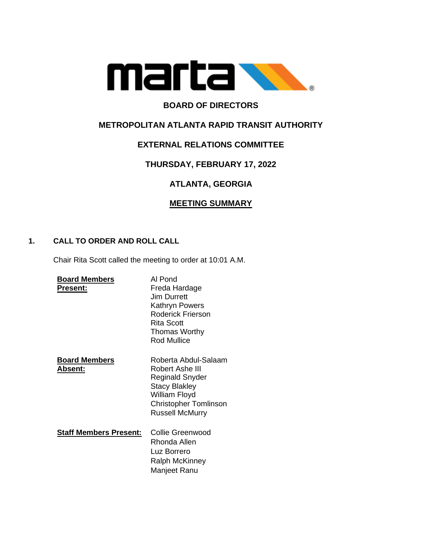

# **BOARD OF DIRECTORS**

# **METROPOLITAN ATLANTA RAPID TRANSIT AUTHORITY**

# **EXTERNAL RELATIONS COMMITTEE**

# **THURSDAY, FEBRUARY 17, 2022**

# **ATLANTA, GEORGIA**

# **MEETING SUMMARY**

## **1. CALL TO ORDER AND ROLL CALL**

Chair Rita Scott called the meeting to order at 10:01 A.M.

| <b>Board Members</b>                    | Al Pond                                                                                                                                                |
|-----------------------------------------|--------------------------------------------------------------------------------------------------------------------------------------------------------|
| Present:                                | Freda Hardage<br>Jim Durrett<br>Kathryn Powers<br><b>Roderick Frierson</b><br><b>Rita Scott</b><br>Thomas Worthy<br>Rod Mullice                        |
| <b>Board Members</b><br><u> Absent:</u> | Roberta Abdul-Salaam<br>Robert Ashe III<br>Reginald Snyder<br><b>Stacy Blakley</b><br>William Floyd<br><b>Christopher Tomlinson</b><br>Russell McMurry |
| <b>Staff Members Present:</b>           | Collie Greenwood<br>Rhonda Allen<br>Luz Borrero<br><b>Ralph McKinney</b><br>Manjeet Ranu                                                               |